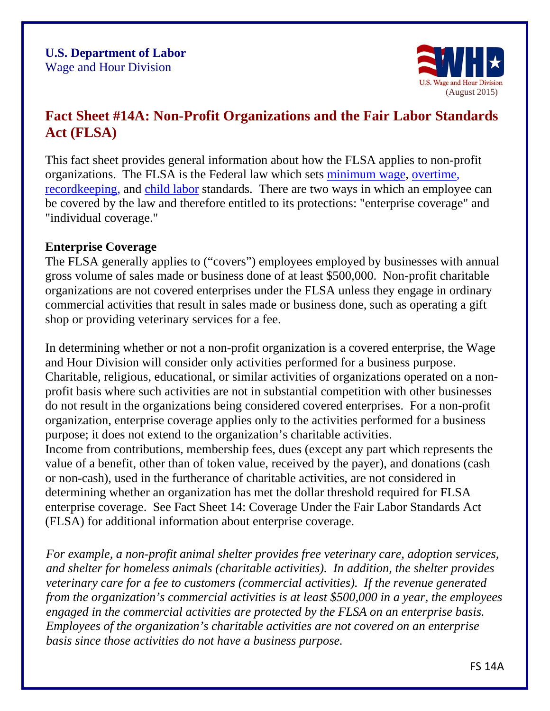

# **Fact Sheet #14A: Non-Profit Organizations and the Fair Labor Standards Act (FLSA)**

This fact sheet provides general information about how the FLSA applies to non-profit organizations. The FLSA is the Federal law which sets minimum wage, overtime, recordkeeping, and child labor standards. There are two ways in which an employee can be covered by the law and therefore entitled to its protections: "enterprise coverage" and "individual coverage."

#### **Enterprise Coverage**

The FLSA generally applies to ("covers") employees employed by businesses with annual gross volume of sales made or business done of at least \$500,000. Non-profit charitable organizations are not covered enterprises under the FLSA unless they engage in ordinary commercial activities that result in sales made or business done, such as operating a gift shop or providing veterinary services for a fee.

In determining whether or not a non-profit organization is a covered enterprise, the Wage and Hour Division will consider only activities performed for a business purpose. Charitable, religious, educational, or similar activities of organizations operated on a nonprofit basis where such activities are not in substantial competition with other businesses do not result in the organizations being considered covered enterprises. For a non-profit organization, enterprise coverage applies only to the activities performed for a business purpose; it does not extend to the organization's charitable activities. Income from contributions, membership fees, dues (except any part which represents the

value of a benefit, other than of token value, received by the payer), and donations (cash or non-cash), used in the furtherance of charitable activities, are not considered in determining whether an organization has [met the dollar threshold required for](http://www.dol.gov/whd/regs/compliance/whdfs14.pdf) FLSA [enterpris](http://www.dol.gov/whd/regs/compliance/whdfs14.pdf)e coverage. See Fact Sheet 14: Coverage Under the Fair Labor Standards Act (FLSA) for additional information about enterprise coverage.

*For example, a non-profit animal shelter provides free veterinary care, adoption services, and shelter for homeless animals (charitable activities). In addition, the shelter provides veterinary care for a fee to customers (commercial activities). If the revenue generated from the organization's commercial activities is at least \$500,000 in a year, the employees engaged in the commercial activities are protected by the FLSA on an enterprise basis. Employees of the organization's charitable activities are not covered on an enterprise basis since those activities do not have a business purpose.*